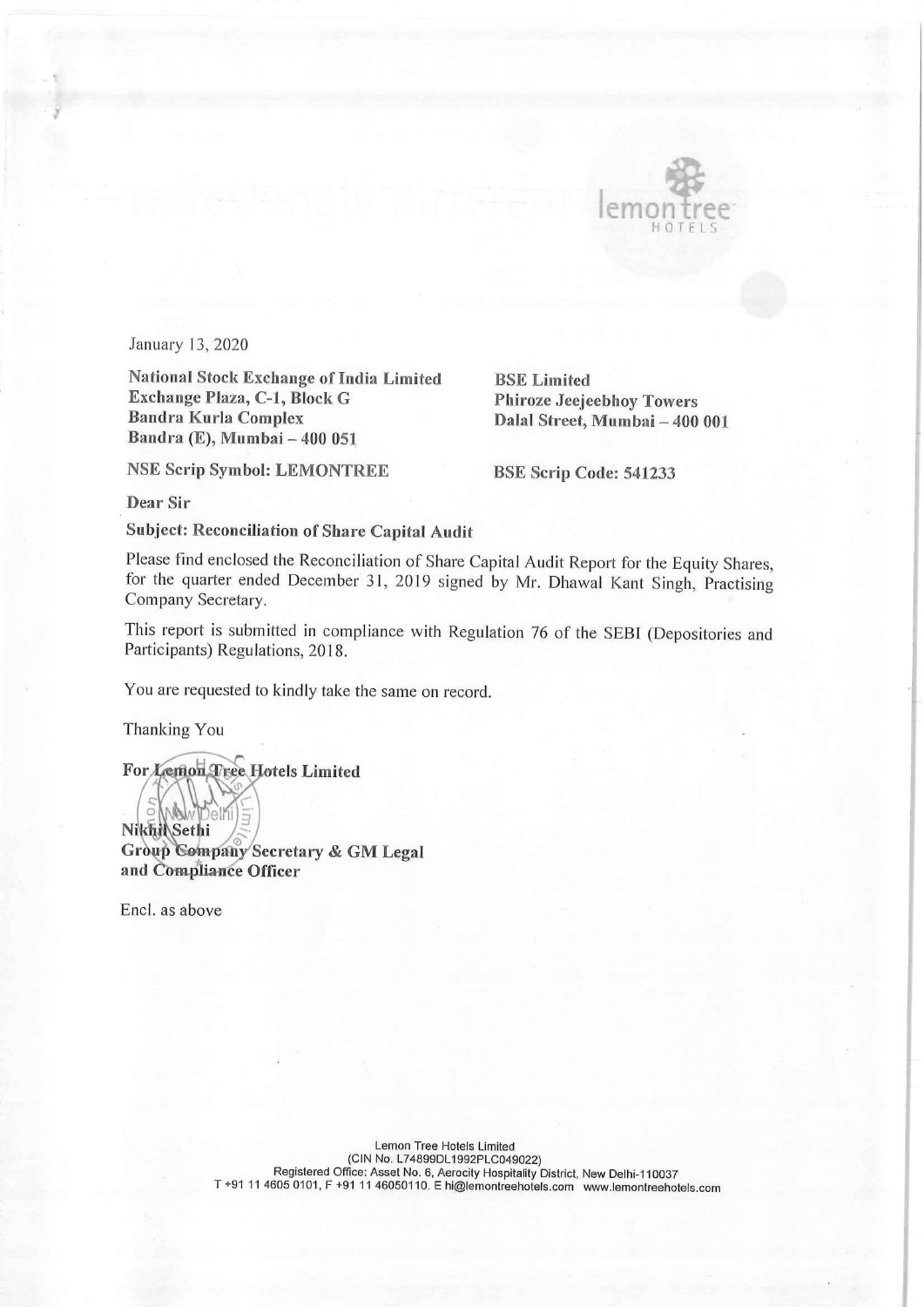

I

January 13, 2020

National Stock Exchange of India Limited BSE Limited Exchange Plaza, C-1, Block G<br>
Bandra Kurla Complex<br>
Dalal Street, Mumbai – 400 Bandra (E), Mumbai — 400 051

Dalal Street, Mumbai – 400 001

NSE Scrip Symbol: LEMONTREE BSE Scrip Code: 541233

Dear Sir

Subject: Reconciliation of Share Capital Audit

Please find enclosed the Reconciliation of Share Capital Audit Report for the Equity Shares, for the quarter ended December 31, 2019 signed by Mr. Dhawal Kant Singh, Practising Company Secretary.

This report is submitted in compliance with Regulation 76 of the SEBI (Depositories and Participants) Regulations, 2018.

You are requested to kindly take the same on record.

Thanking You

For Lemon Tree Hotels Limited

**NAI** Nikhi Sethi<br>Group Company Secretary & GM Legal and Compliance Officer

Encl. as above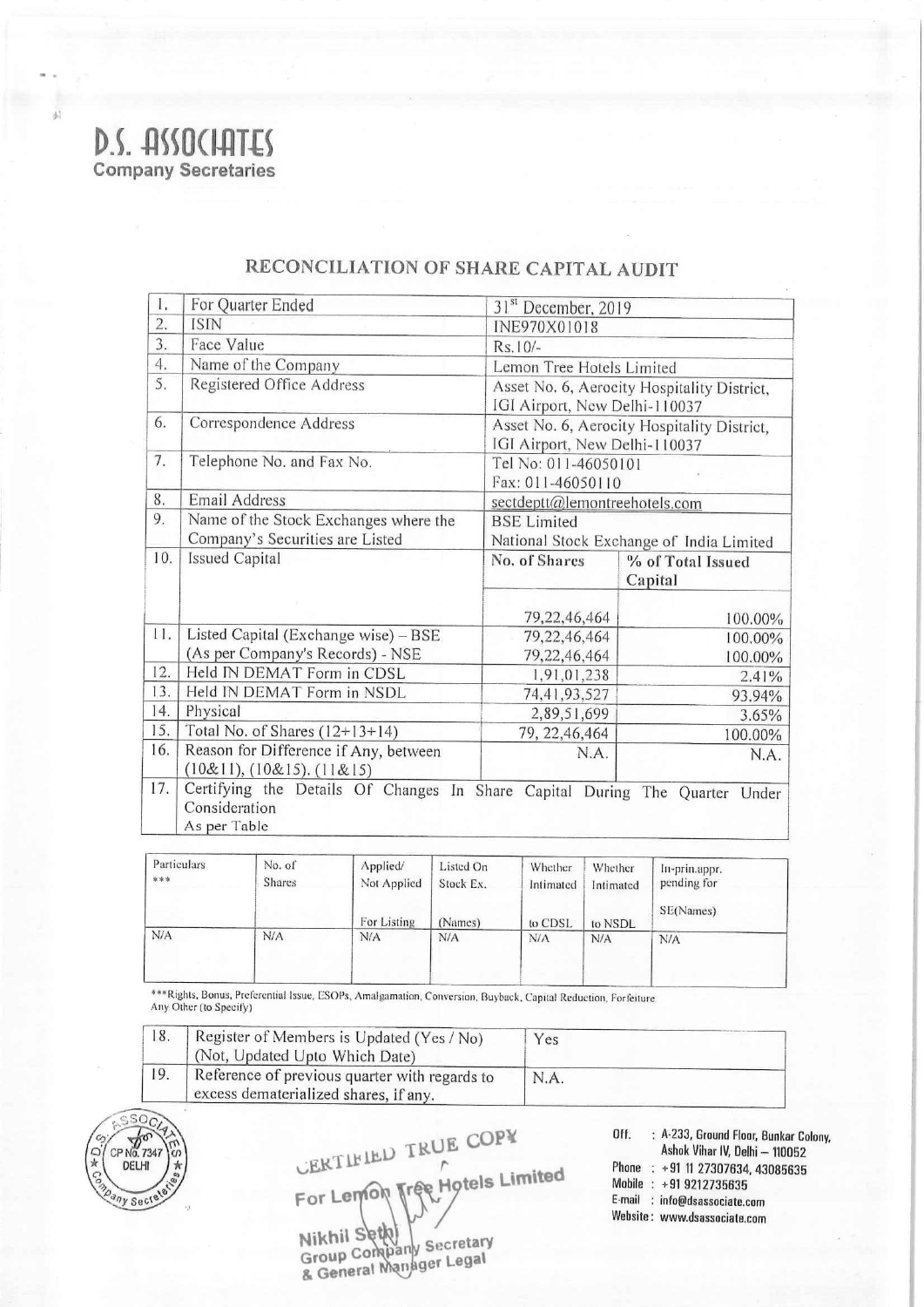

|            | S. ASSOCIATES<br>ompany Secretaries |                                                  |                                                                                                               |           |                                                                                                                                                                     |                                 |                   |                    |                                                                             |  |
|------------|-------------------------------------|--------------------------------------------------|---------------------------------------------------------------------------------------------------------------|-----------|---------------------------------------------------------------------------------------------------------------------------------------------------------------------|---------------------------------|-------------------|--------------------|-----------------------------------------------------------------------------|--|
|            |                                     |                                                  |                                                                                                               |           |                                                                                                                                                                     |                                 |                   |                    |                                                                             |  |
|            |                                     |                                                  |                                                                                                               |           |                                                                                                                                                                     |                                 |                   |                    |                                                                             |  |
|            |                                     |                                                  |                                                                                                               |           |                                                                                                                                                                     |                                 |                   |                    |                                                                             |  |
|            |                                     |                                                  |                                                                                                               |           |                                                                                                                                                                     |                                 |                   |                    |                                                                             |  |
|            |                                     |                                                  |                                                                                                               |           |                                                                                                                                                                     |                                 |                   |                    |                                                                             |  |
|            |                                     |                                                  |                                                                                                               |           |                                                                                                                                                                     |                                 |                   |                    |                                                                             |  |
|            |                                     |                                                  |                                                                                                               |           |                                                                                                                                                                     |                                 |                   |                    |                                                                             |  |
|            |                                     |                                                  |                                                                                                               |           |                                                                                                                                                                     |                                 |                   |                    |                                                                             |  |
|            |                                     |                                                  |                                                                                                               |           |                                                                                                                                                                     |                                 |                   |                    |                                                                             |  |
|            |                                     |                                                  |                                                                                                               |           |                                                                                                                                                                     |                                 |                   |                    |                                                                             |  |
|            |                                     |                                                  |                                                                                                               |           |                                                                                                                                                                     |                                 |                   |                    |                                                                             |  |
|            |                                     |                                                  |                                                                                                               |           |                                                                                                                                                                     |                                 |                   |                    |                                                                             |  |
|            |                                     |                                                  |                                                                                                               |           |                                                                                                                                                                     |                                 |                   |                    |                                                                             |  |
|            |                                     |                                                  |                                                                                                               |           |                                                                                                                                                                     |                                 |                   |                    |                                                                             |  |
|            |                                     |                                                  |                                                                                                               |           |                                                                                                                                                                     |                                 |                   |                    |                                                                             |  |
|            |                                     |                                                  |                                                                                                               |           |                                                                                                                                                                     |                                 |                   |                    |                                                                             |  |
|            |                                     |                                                  | RECONCILIATION OF SHARE CAPITAL AUDIT                                                                         |           |                                                                                                                                                                     |                                 |                   |                    |                                                                             |  |
| I.         |                                     | For Quarter Ended                                |                                                                                                               |           |                                                                                                                                                                     |                                 |                   |                    |                                                                             |  |
| 2.         | <b>ISIN</b>                         |                                                  |                                                                                                               |           | 31 <sup>st</sup> December, 2019<br>INE970X01018                                                                                                                     |                                 |                   |                    |                                                                             |  |
| 3.         | Face Value                          |                                                  |                                                                                                               |           | Rs.10/-<br>Lemon Tree Hotels Limited<br>Asset No. 6, Aerocity Hospitality District,<br>IGI Airport, New Delhi-110037<br>Asset No. 6, Aerocity Hospitality District, |                                 |                   |                    |                                                                             |  |
| 4.<br>5.   |                                     | Name of the Company<br>Registered Office Address |                                                                                                               |           |                                                                                                                                                                     |                                 |                   |                    |                                                                             |  |
|            |                                     |                                                  |                                                                                                               |           |                                                                                                                                                                     |                                 |                   |                    |                                                                             |  |
| 6.         |                                     | Correspondence Address                           |                                                                                                               |           |                                                                                                                                                                     |                                 |                   |                    |                                                                             |  |
| 7.         |                                     | Telephone No. and Fax No.                        |                                                                                                               |           | IGI Airport, New Delhi-110037<br>Tel No: 011-46050101                                                                                                               |                                 |                   |                    |                                                                             |  |
|            |                                     |                                                  |                                                                                                               |           | Fax: 011-46050110<br>sectdeptt@lemontreehotels.com<br><b>BSE</b> Limited<br>National Stock Exchange of India Limited                                                |                                 |                   |                    |                                                                             |  |
| 8.         | Email Address                       |                                                  |                                                                                                               |           |                                                                                                                                                                     |                                 |                   |                    |                                                                             |  |
| 9.         |                                     | Company's Securities are Listed                  | Name of the Stock Exchanges where the                                                                         |           |                                                                                                                                                                     |                                 |                   |                    |                                                                             |  |
| 10.        | <b>Issued Capital</b>               |                                                  |                                                                                                               |           | No. of Shares                                                                                                                                                       |                                 | % of Total Issued |                    |                                                                             |  |
|            |                                     |                                                  |                                                                                                               |           |                                                                                                                                                                     |                                 |                   |                    | Capital                                                                     |  |
|            |                                     |                                                  |                                                                                                               |           |                                                                                                                                                                     |                                 |                   |                    |                                                                             |  |
| 11.        |                                     | Listed Capital (Exchange wise) - BSE             |                                                                                                               |           |                                                                                                                                                                     |                                 | 79,22,46,464      | 100.00%<br>100.00% |                                                                             |  |
|            |                                     |                                                  | (As per Company's Records) - NSE                                                                              |           |                                                                                                                                                                     | 79,22,46,464<br>79, 22, 46, 464 |                   | 100.00%            |                                                                             |  |
| 12.        |                                     | Held IN DEMAT Form in CDSL                       |                                                                                                               |           |                                                                                                                                                                     | 1,91,01,238                     |                   |                    | 2.41%                                                                       |  |
| 13.        |                                     | Held IN DEMAT Form in NSDL                       |                                                                                                               |           |                                                                                                                                                                     | 74,41,93,527                    |                   |                    | 93.94%                                                                      |  |
| 14.        | Physical                            |                                                  |                                                                                                               |           |                                                                                                                                                                     | 2,89,51,699                     |                   |                    | 3.65%                                                                       |  |
| 15.<br>16. |                                     | Total No. of Shares $(12+13+14)$                 | Reason for Difference if Any, between                                                                         |           |                                                                                                                                                                     | 79, 22, 46, 464                 | N.A.              |                    | 100.00%<br>N.A.                                                             |  |
|            |                                     | (10&11), (10&15), (11&15)                        |                                                                                                               |           |                                                                                                                                                                     |                                 |                   |                    |                                                                             |  |
| 17.        |                                     |                                                  |                                                                                                               |           |                                                                                                                                                                     |                                 |                   |                    | Certifying the Details Of Changes In Share Capital During The Quarter Under |  |
|            | Consideration<br>As per Table       |                                                  |                                                                                                               |           |                                                                                                                                                                     |                                 |                   |                    |                                                                             |  |
|            |                                     |                                                  |                                                                                                               |           |                                                                                                                                                                     |                                 |                   |                    |                                                                             |  |
|            | Particulars                         | No. of                                           | Applied/                                                                                                      | Listed On |                                                                                                                                                                     | Whether                         | Whether           |                    | In-prin.appr.                                                               |  |
| ***        |                                     | <b>Shares</b>                                    | Not Applied                                                                                                   | Stock Ex. |                                                                                                                                                                     | Intimated                       | Intimated         |                    | pending for                                                                 |  |
|            |                                     |                                                  | For Listing                                                                                                   | (Names)   |                                                                                                                                                                     | to CDSL                         | to NSDL           |                    | SE(Names)                                                                   |  |
|            |                                     | N/A<br>N/A                                       |                                                                                                               | N/A       | N/A                                                                                                                                                                 |                                 | N/A               |                    | N/A                                                                         |  |
| N/A        |                                     |                                                  |                                                                                                               |           |                                                                                                                                                                     |                                 |                   |                    |                                                                             |  |
|            |                                     |                                                  |                                                                                                               |           |                                                                                                                                                                     |                                 |                   |                    |                                                                             |  |
|            |                                     |                                                  | ***Rights, Bonus, Preferential Issue, ESOPs, Amalgamation, Conversion, Buyback, Capital Reduction, Forfeiture |           |                                                                                                                                                                     |                                 |                   |                    |                                                                             |  |
|            | Any Other (to Specify)              |                                                  |                                                                                                               |           |                                                                                                                                                                     |                                 |                   |                    |                                                                             |  |
| 18.        |                                     |                                                  | Register of Members is Updated (Yes / No)                                                                     |           |                                                                                                                                                                     | Yes                             |                   |                    |                                                                             |  |
| 19.        |                                     |                                                  | (Not, Updated Upto Which Date)<br>Reference of previous quarter with regards to                               |           |                                                                                                                                                                     | N.A.                            |                   |                    |                                                                             |  |

## RECONCILIATION OF SHARE CAPITAL AUDIT

| Particulars<br>*** | No. of<br><b>Shares</b> | $\Delta$ pplied/<br>Not Applied | Listed On<br>Stock Ex. | Whether<br>Intimated | Whether<br>Intimated | In-prin.appr.<br>pending for |
|--------------------|-------------------------|---------------------------------|------------------------|----------------------|----------------------|------------------------------|
|                    |                         | For Listing                     | (Names)                | to CDSL              | to NSDL              | SE(Names)                    |
| N/A                | N/A                     | N/A                             | N/A                    | N/A                  | N/A                  | N/A                          |
|                    |                         |                                 |                        |                      |                      |                              |

| Register of Members is Updated (Yes / No)<br>(Not, Updated Upto Which Date)            | Yes  |
|----------------------------------------------------------------------------------------|------|
| Reference of previous quarter with regards to<br>excess dematerialized shares, if any. | N.A. |



 $\begin{array}{ccccc}\n & & & & \\
\hline\n\end{array}\n\begin{array}{ccccc}\n & & & & \\
\hline\n\end{array}\n\begin{array}{ccccc}\n & & & & \\
\hline\n\end{array}\n\begin{array}{ccccc}\n & & & & \\
\hline\n\end{array}\n\begin{array}{ccccc}\n & & & & \\
\hline\n\end{array}\n\begin{array}{ccccc}\n & & & & \\
\hline\n\end{array}\n\begin{array}{ccccc}\n & & & & \\
\hline\n\end{array}\n\begin{array}{ccccc}\n & & & & \\
\hline\n\end{array}\n\begin{array}{ccccc}\n & & & & \\
\hline\n\end{array}\n\begin{array$ Nikhii Stywany Secretary<br>Group Company Secretary

& General

Website: www.dsassociate.com

I